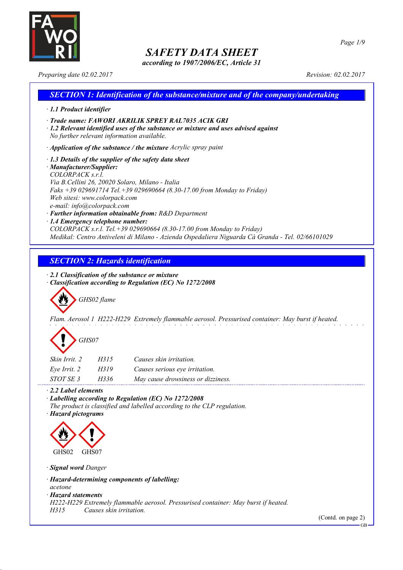

*according to 1907/2006/EC, Article 31*

*Page 1/9*

*Preparing date 02.02.2017 Revision: 02.02.2017*

### *SECTION 1: Identification of the substance/mixture and of the company/undertaking · 1.1 Product identifier · Trade name: FAWORI AKRILIK SPREY RAL7035 ACIK GRI · 1.2 Relevant identified uses of the substance or mixture and uses advised against No further relevant information available. · Application of the substance / the mixture Acrylic spray paint · 1.3 Details of the supplier of the safety data sheet · Manufacturer/Supplier: COLORPACK s.r.l. Via B.Cellini 26, 20020 Solaro, Milano - Italia Faks +39 029691714 Tel.+39 029690664 (8.30-17.00 from Monday to Friday) Web sitesi: www.colorpack.com e-mail: info@colorpack.com · Further information obtainable from: R&D Department · 1.4 Emergency telephone number: COLORPACK s.r.l. Tel.+39 029690664 (8.30-17.00 from Monday to Friday) Medikal: Centro Antiveleni di Milano - Azienda Ospedaliera Niguarda Cà Granda - Tel. 02/66101029*

### *SECTION 2: Hazards identification*

*· 2.1 Classification of the substance or mixture*

*· Classification according to Regulation (EC) No 1272/2008*

*GHS02 flame*

*Flam. Aerosol 1 H222-H229 Extremely flammable aerosol. Pressurised container: May burst if heated.*

| GHS07 |
|-------|
|-------|

| Skin Irrit. 2 | H315 | Causes skin irritation.            |
|---------------|------|------------------------------------|
| Eve Irrit. 2  | H319 | Causes serious eye irritation.     |
| STOT SE 3     | H336 | May cause drowsiness or dizziness. |

*· 2.2 Label elements*

*· Labelling according to Regulation (EC) No 1272/2008*

*The product is classified and labelled according to the CLP regulation.*

*· Hazard pictograms*



*· Signal word Danger*

*· Hazard-determining components of labelling:*

*acetone*

*· Hazard statements*

*H222-H229 Extremely flammable aerosol. Pressurised container: May burst if heated.*

*H315 Causes skin irritation.*

(Contd. on page 2)

GB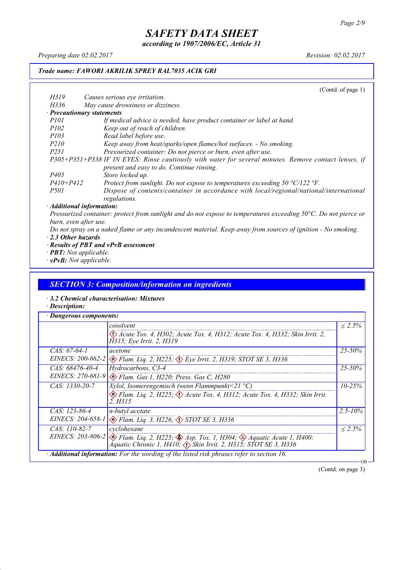*according to 1907/2006/EC, Article 31*

*Preparing date 02.02.2017 Revision: 02.02.2017*

### *Trade name: FAWORI AKRILIK SPREY RAL7035 ACIK GRI*

|                  | (Contd. of page $1$ )                                                                                 |
|------------------|-------------------------------------------------------------------------------------------------------|
| H319             | Causes serious eye irritation.                                                                        |
| H336             | May cause drowsiness or dizziness.                                                                    |
|                  | · Precautionary statements                                                                            |
| <i>P101</i>      | If medical advice is needed, have product container or label at hand.                                 |
| <i>P102</i>      | Keep out of reach of children.                                                                        |
| <i>P103</i>      | Read label before use.                                                                                |
| <i>P210</i>      | Keep away from heat/sparks/open flames/hot surfaces. - No smoking.                                    |
| P <sub>251</sub> | Pressurized container: Do not pierce or burn, even after use.                                         |
|                  | P305+P351+P338 IF IN EYES: Rinse cautiously with water for several minutes. Remove contact lenses, if |
|                  | present and easy to do. Continue rinsing.                                                             |
| P <sub>405</sub> | Store locked up.                                                                                      |
| $P410 + P412$    | Protect from sunlight. Do not expose to temperatures exceeding 50 $\degree$ C/122 $\degree$ F.        |
| <i>P501</i>      | Dispose of contents/container in accordance with local/regional/national/international                |
|                  | regulations.                                                                                          |
|                  | $\cdot$ Additional information:                                                                       |
|                  |                                                                                                       |

Pressurized container: protect from sunlight and do not expose to temperatures exceeding 50°C. Do not pierce or *burn, even after use.*

- Do not spray on a naked flame or any incandescent material. Keep away from sources of ignition No smoking. *· 2.3 Other hazards*
- *· Results of PBT and vPvB assessment*
- *· PBT: Not applicable.*
- *· vPvB: Not applicable.*

### *SECTION 3: Composition/information on ingredients*

- *· 3.2 Chemical characterisation: Mixtures*
- *· Description:*

|                   | cosolvent                                                                                                                                                                                                 | $\leq 2.5\%$ |
|-------------------|-----------------------------------------------------------------------------------------------------------------------------------------------------------------------------------------------------------|--------------|
|                   | $\langle \cdot \rangle$ Acute Tox. 4, H302; Acute Tox. 4, H312; Acute Tox. 4, H332; Skin Irrit. 2,<br>H315; Eye Irrit. 2, H319                                                                            |              |
| $CAS: 67-64-1$    | acetone                                                                                                                                                                                                   | $25 - 50\%$  |
| EINECS: 200-662-2 | $\langle \rangle$ Flam. Liq. 2, H225; $\langle \rangle$ Eye Irrit. 2, H319; STOT SE 3, H336                                                                                                               |              |
| $CAS: 68476-40-4$ | Hydrocarbons, C3-4                                                                                                                                                                                        | 25-50%       |
|                   | EINECS: 270-681-9 & Flam. Gas 1, H220; Press. Gas C, H280                                                                                                                                                 |              |
| $CAS: 1330-20-7$  | <i>Xylol, Isomerengemisch (wenn Flammpunkt</i> <21 $^{\circ}$ C)                                                                                                                                          | $10 - 25\%$  |
|                   | Elam. Liq. 2, H225; $\Diamond$ Acute Tox. 4, H312; Acute Tox. 4, H332; Skin Irrit.<br>2. H315                                                                                                             |              |
| $CAS: 123-86-4$   | n-butyl acetate                                                                                                                                                                                           | $2.5 - 10\%$ |
|                   | EINECS: 204-658-1 & Flam. Liq. 3, H226; STOT SE 3, H336                                                                                                                                                   |              |
| $CAS: 110-82-7$   | cyclohexane                                                                                                                                                                                               | $\leq 2.5\%$ |
|                   | EINECS: 203-806-2 $\otimes$ Flam. Liq. 2, H225; $\otimes$ Asp. Tox. 1, H304; $\otimes$ Aquatic Acute 1, H400;<br>$\bigwedge^2$ quatic Chronic 1, H410; $\bigwedge^5$ Skin Irrit. 2, H315; STOT SE 3, H336 |              |

(Contd. on page 3)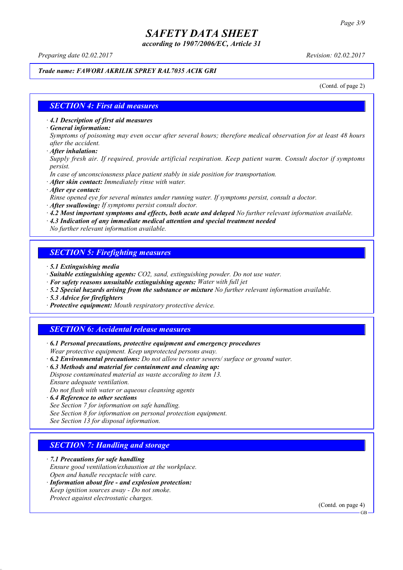*according to 1907/2006/EC, Article 31*

*Preparing date 02.02.2017 Revision: 02.02.2017*

### *Trade name: FAWORI AKRILIK SPREY RAL7035 ACIK GRI*

(Contd. of page 2)

### *SECTION 4: First aid measures*

*· 4.1 Description of first aid measures*

*· General information:*

Symptoms of poisoning may even occur after several hours; therefore medical observation for at least 48 hours *after the accident.*

*· After inhalation:*

*Supply fresh air. If required, provide artificial respiration. Keep patient warm. Consult doctor if symptoms persist.*

*In case of unconsciousness place patient stably in side position for transportation.*

- *· After skin contact: Immediately rinse with water.*
- *· After eye contact:*

*Rinse opened eye for several minutes under running water. If symptoms persist, consult a doctor.*

*· After swallowing: If symptoms persist consult doctor.*

*· 4.2 Most important symptoms and effects, both acute and delayed No further relevant information available.*

*· 4.3 Indication of any immediate medical attention and special treatment needed*

*No further relevant information available.*

### *SECTION 5: Firefighting measures*

- *· 5.1 Extinguishing media*
- *· Suitable extinguishing agents: CO2, sand, extinguishing powder. Do not use water.*
- *· For safety reasons unsuitable extinguishing agents: Water with full jet*
- *· 5.2 Special hazards arising from the substance or mixture No further relevant information available.*
- *· 5.3 Advice for firefighters*
- *· Protective equipment: Mouth respiratory protective device.*

### *SECTION 6: Accidental release measures*

*· 6.1 Personal precautions, protective equipment and emergency procedures Wear protective equipment. Keep unprotected persons away.*

*· 6.2 Environmental precautions: Do not allow to enter sewers/ surface or ground water.*

*· 6.3 Methods and material for containment and cleaning up:*

*Dispose contaminated material as waste according to item 13. Ensure adequate ventilation.*

*Do not flush with water or aqueous cleansing agents*

- *· 6.4 Reference to other sections*
- *See Section 7 for information on safe handling.*

*See Section 8 for information on personal protection equipment.*

*See Section 13 for disposal information.*

### *SECTION 7: Handling and storage*

*· 7.1 Precautions for safe handling*

*Ensure good ventilation/exhaustion at the workplace.*

*Open and handle receptacle with care.*

*· Information about fire - and explosion protection: Keep ignition sources away - Do not smoke.*

*Protect against electrostatic charges.*

(Contd. on page 4)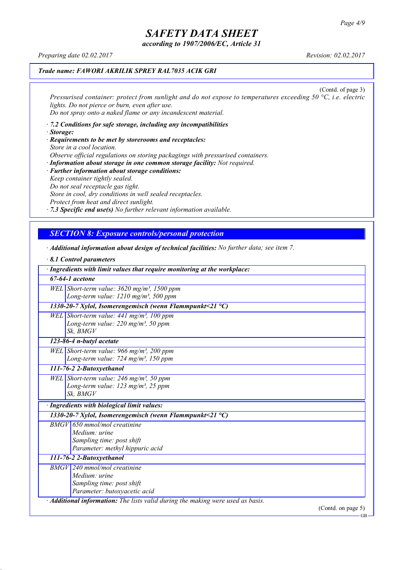*according to 1907/2006/EC, Article 31*

*Preparing date 02.02.2017 Revision: 02.02.2017*

### *Trade name: FAWORI AKRILIK SPREY RAL7035 ACIK GRI*

(Contd. of page 3) *Pressurised container: protect from sunlight and do not expose to temperatures exceeding 50 °C, i.e. electric lights. Do not pierce or burn, even after use. Do not spray onto a naked flame or any incandescent material.*

- *· 7.2 Conditions for safe storage, including any incompatibilities · Storage:*
- *· Requirements to be met by storerooms and receptacles: Store in a cool location. Observe official regulations on storing packagings with pressurised containers.*
- *· Information about storage in one common storage facility: Not required. · Further information about storage conditions: Keep container tightly sealed. Do not seal receptacle gas tight. Store in cool, dry conditions in well sealed receptacles. Protect from heat and direct sunlight.*

*· 7.3 Specific end use(s) No further relevant information available.*

### *SECTION 8: Exposure controls/personal protection*

- *· Additional information about design of technical facilities: No further data; see item 7.*
- *· 8.1 Control parameters · Ingredients with limit values that require monitoring at the workplace: 67-64-1 acetone WEL Short-term value: 3620 mg/m³, 1500 ppm Long-term value: 1210 mg/m³, 500 ppm 1330-20-7 Xylol, Isomerengemisch (wenn Flammpunkt<21 °C) WEL Short-term value: 441 mg/m³, 100 ppm Long-term value: 220 mg/m³, 50 ppm Sk, BMGV 123-86-4 n-butyl acetate WEL Short-term value: 966 mg/m³, 200 ppm Long-term value: 724 mg/m³, 150 ppm 111-76-2 2-Butoxyethanol WEL Short-term value: 246 mg/m³, 50 ppm Long-term value: 123 mg/m³, 25 ppm Sk, BMGV · Ingredients with biological limit values: 1330-20-7 Xylol, Isomerengemisch (wenn Flammpunkt<21 °C) BMGV 650 mmol/mol creatinine Medium: urine Sampling time: post shift Parameter: methyl hippuric acid 111-76-2 2-Butoxyethanol BMGV 240 mmol/mol creatinine Medium: urine Sampling time: post shift Parameter: butoxyacetic acid · Additional information: The lists valid during the making were used as basis.*

(Contd. on page 5)

GB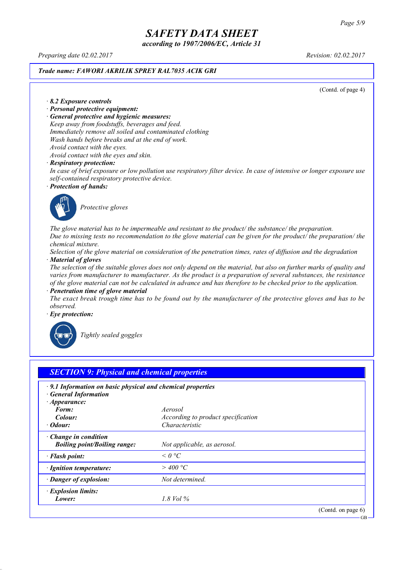*according to 1907/2006/EC, Article 31*

*Preparing date 02.02.2017 Revision: 02.02.2017*

#### *Trade name: FAWORI AKRILIK SPREY RAL7035 ACIK GRI*

(Contd. of page 4)

#### *· 8.2 Exposure controls*

- *· Personal protective equipment:*
- *· General protective and hygienic measures:*

*Keep away from foodstuffs, beverages and feed. Immediately remove all soiled and contaminated clothing Wash hands before breaks and at the end of work. Avoid contact with the eyes.*

*Avoid contact with the eyes and skin.*

#### *· Respiratory protection:*

In case of brief exposure or low pollution use respiratory filter device. In case of intensive or longer exposure use *self-contained respiratory protective device.*

*· Protection of hands:*



*Protective gloves*

*The glove material has to be impermeable and resistant to the product/ the substance/ the preparation.* Due to missing tests no recommendation to the glove material can be given for the product/ the preparation/ the *chemical mixture.*

Selection of the glove material on consideration of the penetration times, rates of diffusion and the degradation *· Material of gloves*

The selection of the suitable gloves does not only depend on the material, but also on further marks of quality and *varies from manufacturer to manufacturer. As the product is a preparation of several substances, the resistance* of the glove material can not be calculated in advance and has therefore to be checked prior to the application.

*· Penetration time of glove material*

The exact break trough time has to be found out by the manufacturer of the protective gloves and has to be *observed.*

*· Eye protection:*



*Tightly sealed goggles*

| $\cdot$ 9.1 Information on basic physical and chemical properties<br><b>General Information</b> |                                    |  |
|-------------------------------------------------------------------------------------------------|------------------------------------|--|
| $\cdot$ Appearance:                                                                             |                                    |  |
| Form:                                                                                           | Aerosol                            |  |
| Colour:                                                                                         | According to product specification |  |
| $\cdot$ Odour:                                                                                  | Characteristic                     |  |
| · Change in condition                                                                           |                                    |  |
| <b>Boiling point/Boiling range:</b>                                                             | Not applicable, as aerosol.        |  |
| · Flash point:                                                                                  | $\leq$ 0 °C                        |  |
| · Ignition temperature:                                                                         | $>$ 400 °C                         |  |
| · Danger of explosion:                                                                          | Not determined.                    |  |
| · Explosion limits:                                                                             |                                    |  |
| Lower:                                                                                          | $1.8$ Vol $\%$                     |  |

GB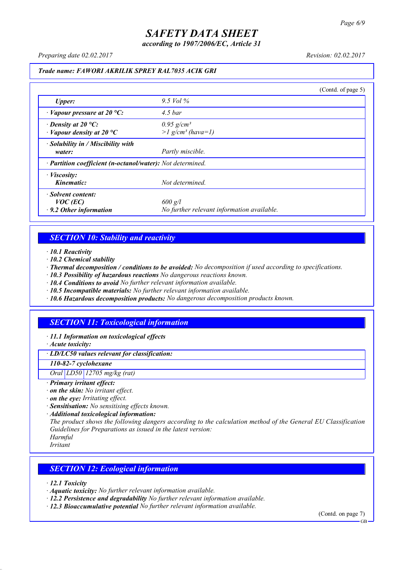*according to 1907/2006/EC, Article 31*

*Preparing date 02.02.2017 Revision: 02.02.2017*

#### *Trade name: FAWORI AKRILIK SPREY RAL7035 ACIK GRI*

|                                                                   |                                                             | (Contd. of page 5) |
|-------------------------------------------------------------------|-------------------------------------------------------------|--------------------|
| <b>Upper:</b>                                                     | 9.5 Vol $\%$                                                |                    |
| $\cdot$ Vapour pressure at 20 °C:                                 | $4.5\,bar$                                                  |                    |
| $\cdot$ Density at 20 °C:<br>$\cdot$ Vapour density at 20 °C      | $0.95$ g/cm <sup>3</sup><br>$>l$ g/cm <sup>3</sup> (hava=1) |                    |
| $\cdot$ Solubility in / Miscibility with<br>water:                | Partly miscible.                                            |                    |
| · Partition coefficient (n-octanol/water): Not determined.        |                                                             |                    |
| $\cdot$ <i>Viscosity:</i><br>Kinematic:                           | Not determined.                                             |                    |
| · Solvent content:<br>$VOC$ (EC)<br>$\cdot$ 9.2 Other information | $600$ g/l<br>No further relevant information available.     |                    |

### *SECTION 10: Stability and reactivity*

*· 10.1 Reactivity*

- *· 10.2 Chemical stability*
- *· Thermal decomposition / conditions to be avoided: No decomposition if used according to specifications.*
- *· 10.3 Possibility of hazardous reactions No dangerous reactions known.*
- *· 10.4 Conditions to avoid No further relevant information available.*
- *· 10.5 Incompatible materials: No further relevant information available.*
- *· 10.6 Hazardous decomposition products: No dangerous decomposition products known.*

### *SECTION 11: Toxicological information*

*· 11.1 Information on toxicological effects*

*· Acute toxicity:*

*· LD/LC50 values relevant for classification:*

*110-82-7 cyclohexane*

*Oral LD50 12705 mg/kg (rat)*

- *· Primary irritant effect:*
- *· on the skin: No irritant effect.*
- *· on the eye: Irritating effect.*
- *· Sensitisation: No sensitising effects known.*
- *· Additional toxicological information:*

*The product shows the following dangers according to the calculation method of the General EU Classification Guidelines for Preparations as issued in the latest version:*

*Harmful*

*Irritant*

### *SECTION 12: Ecological information*

*· 12.1 Toxicity*

- *· Aquatic toxicity: No further relevant information available.*
- *· 12.2 Persistence and degradability No further relevant information available.*
- *· 12.3 Bioaccumulative potential No further relevant information available.*

(Contd. on page 7)

**GB**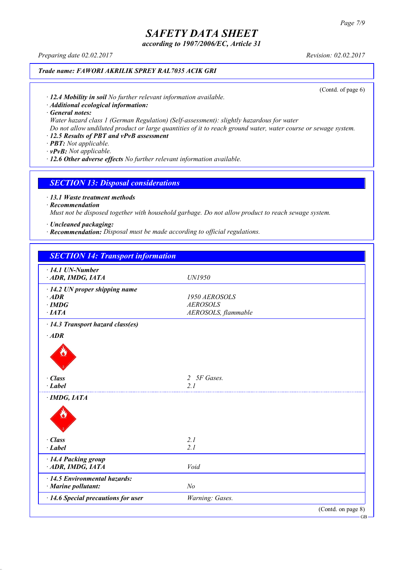*according to 1907/2006/EC, Article 31*

*Preparing date 02.02.2017 Revision: 02.02.2017*

### *Trade name: FAWORI AKRILIK SPREY RAL7035 ACIK GRI*

(Contd. of page 6)

*· 12.4 Mobility in soil No further relevant information available.*

*· Additional ecological information:*

*· General notes:*

*Water hazard class 1 (German Regulation) (Self-assessment): slightly hazardous for water*

Do not allow undiluted product or large quantities of it to reach ground water, water course or sewage system.

### *· 12.5 Results of PBT and vPvB assessment*

*· PBT: Not applicable.*

*· vPvB: Not applicable.*

*· 12.6 Other adverse effects No further relevant information available.*

#### *SECTION 13: Disposal considerations*

*· 13.1 Waste treatment methods*

*· Recommendation*

*Must not be disposed together with household garbage. Do not allow product to reach sewage system.*

*· Uncleaned packaging:*

*· Recommendation: Disposal must be made according to official regulations.*

| <b>SECTION 14: Transport information</b> |                             |                    |
|------------------------------------------|-----------------------------|--------------------|
| $\cdot$ 14.1 UN-Number                   |                             |                    |
| ADR, IMDG, IATA                          | UN1950                      |                    |
| $\cdot$ 14.2 UN proper shipping name     |                             |                    |
| $·$ <i>ADR</i>                           | 1950 AEROSOLS               |                    |
| $\cdot$ IMDG                             | <b>AEROSOLS</b>             |                    |
| $\cdot$ IATA                             | AEROSOLS, flammable         |                    |
| · 14.3 Transport hazard class(es)        |                             |                    |
| $·$ <i>ADR</i>                           |                             |                    |
|                                          |                             |                    |
| · Class                                  | 5F Gases.<br>$\overline{2}$ |                    |
| $-Label$                                 | 21                          |                    |
| $\cdot$ IMDG, IATA                       |                             |                    |
|                                          |                             |                    |
| · Class                                  | 2.1                         |                    |
| $\cdot$ Label                            | 2.1                         |                    |
| · 14.4 Packing group                     |                             |                    |
| ADR, IMDG, IATA                          | Void                        |                    |
| · 14.5 Environmental hazards:            |                             |                    |
| $\cdot$ Marine pollutant:                | N <sub>o</sub>              |                    |
| · 14.6 Special precautions for user      | Warning: Gases.             |                    |
|                                          |                             | (Contd. on page 8) |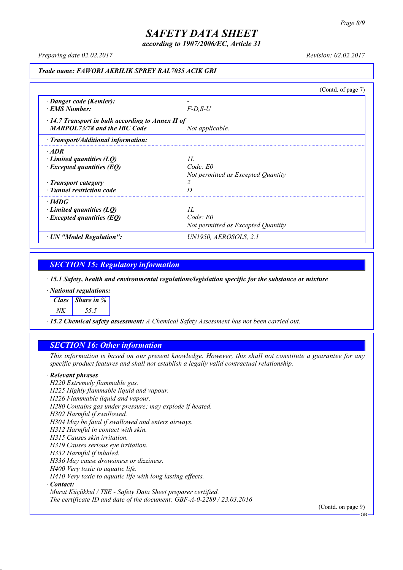*according to 1907/2006/EC, Article 31*

*Preparing date 02.02.2017 Revision: 02.02.2017*

#### *Trade name: FAWORI AKRILIK SPREY RAL7035 ACIK GRI*

(Contd. of page 7) *· Danger code (Kemler): - · EMS Number: F-D,S-U · 14.7 Transport in bulk according to Annex II of MARPOL73/78 and the IBC Code Not applicable. · Transport/Additional information: · ADR · Limited quantities (LQ) 1L · Excepted quantities (EQ) Code: E0 Not permitted as Excepted Quantity · Transport category 2 · Tunnel restriction code D · IMDG · Limited quantities (LQ) 1L · Excepted quantities (EQ) Code: E0 Not permitted as Excepted Quantity · UN "Model Regulation": UN1950, AEROSOLS, 2.1*

### *SECTION 15: Regulatory information*

*· 15.1 Safety, health and environmental regulations/legislation specific for the substance or mixture*

*· National regulations:*

*Class Share in %*

*NK 55.5*

*· 15.2 Chemical safety assessment: A Chemical Safety Assessment has not been carried out.*

### *SECTION 16: Other information*

This information is based on our present knowledge. However, this shall not constitute a guarantee for any *specific product features and shall not establish a legally valid contractual relationship.*

#### *· Relevant phrases*

*H220 Extremely flammable gas. H225 Highly flammable liquid and vapour. H226 Flammable liquid and vapour. H280 Contains gas under pressure; may explode if heated. H302 Harmful if swallowed. H304 May be fatal if swallowed and enters airways. H312 Harmful in contact with skin. H315 Causes skin irritation. H319 Causes serious eye irritation. H332 Harmful if inhaled. H336 May cause drowsiness or dizziness. H400 Very toxic to aquatic life. H410 Very toxic to aquatic life with long lasting effects. · Contact: Murat Küçükkul / TSE - Safety Data Sheet preparer certified.*

*The certificate ID and date of the document: GBF-A-0-2289 / 23.03.2016*

(Contd. on page 9)

GB